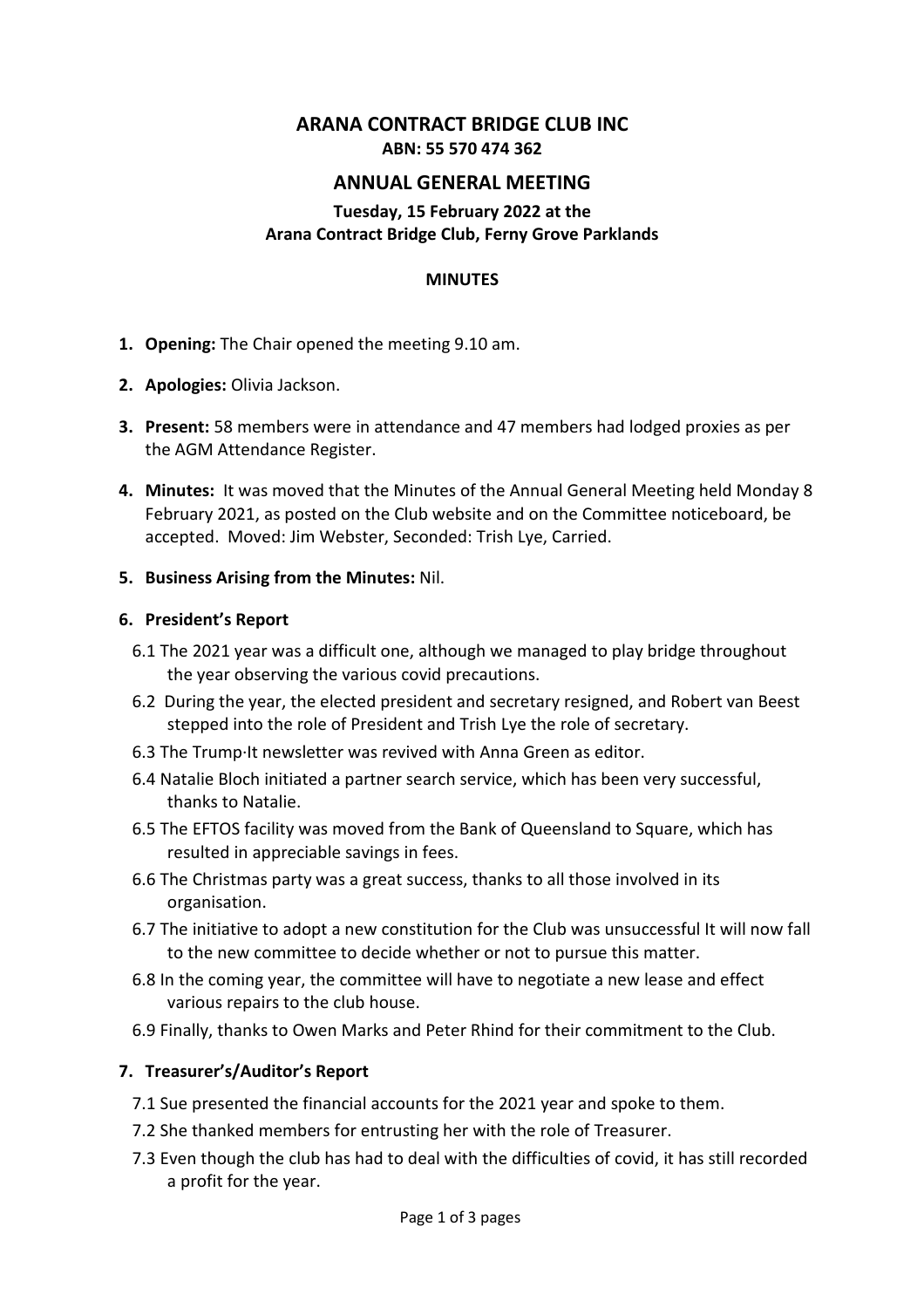# **ARANA CONTRACT BRIDGE CLUB INC ABN: 55 570 474 362**

## **ANNUAL GENERAL MEETING**

#### **Tuesday, 15 February 2022 at the Arana Contract Bridge Club, Ferny Grove Parklands**

#### **MINUTES**

- **1. Opening:** The Chair opened the meeting 9.10 am.
- **2. Apologies:** Olivia Jackson.
- **3. Present:** 58 members were in attendance and 47 members had lodged proxies as per the AGM Attendance Register.
- **4. Minutes:** It was moved that the Minutes of the Annual General Meeting held Monday 8 February 2021, as posted on the Club website and on the Committee noticeboard, be accepted. Moved: Jim Webster, Seconded: Trish Lye, Carried.

#### **5. Business Arising from the Minutes:** Nil.

#### **6. President's Report**

- 6.1 The 2021 year was a difficult one, although we managed to play bridge throughout the year observing the various covid precautions.
- 6.2 During the year, the elected president and secretary resigned, and Robert van Beest stepped into the role of President and Trish Lye the role of secretary.
- 6.3 The Trump∙It newsletter was revived with Anna Green as editor.
- 6.4 Natalie Bloch initiated a partner search service, which has been very successful, thanks to Natalie.
- 6.5 The EFTOS facility was moved from the Bank of Queensland to Square, which has resulted in appreciable savings in fees.
- 6.6 The Christmas party was a great success, thanks to all those involved in its organisation.
- 6.7 The initiative to adopt a new constitution for the Club was unsuccessful It will now fall to the new committee to decide whether or not to pursue this matter.
- 6.8 In the coming year, the committee will have to negotiate a new lease and effect various repairs to the club house.
- 6.9 Finally, thanks to Owen Marks and Peter Rhind for their commitment to the Club.

#### **7. Treasurer's/Auditor's Report**

- 7.1 Sue presented the financial accounts for the 2021 year and spoke to them.
- 7.2 She thanked members for entrusting her with the role of Treasurer.
- 7.3 Even though the club has had to deal with the difficulties of covid, it has still recorded a profit for the year.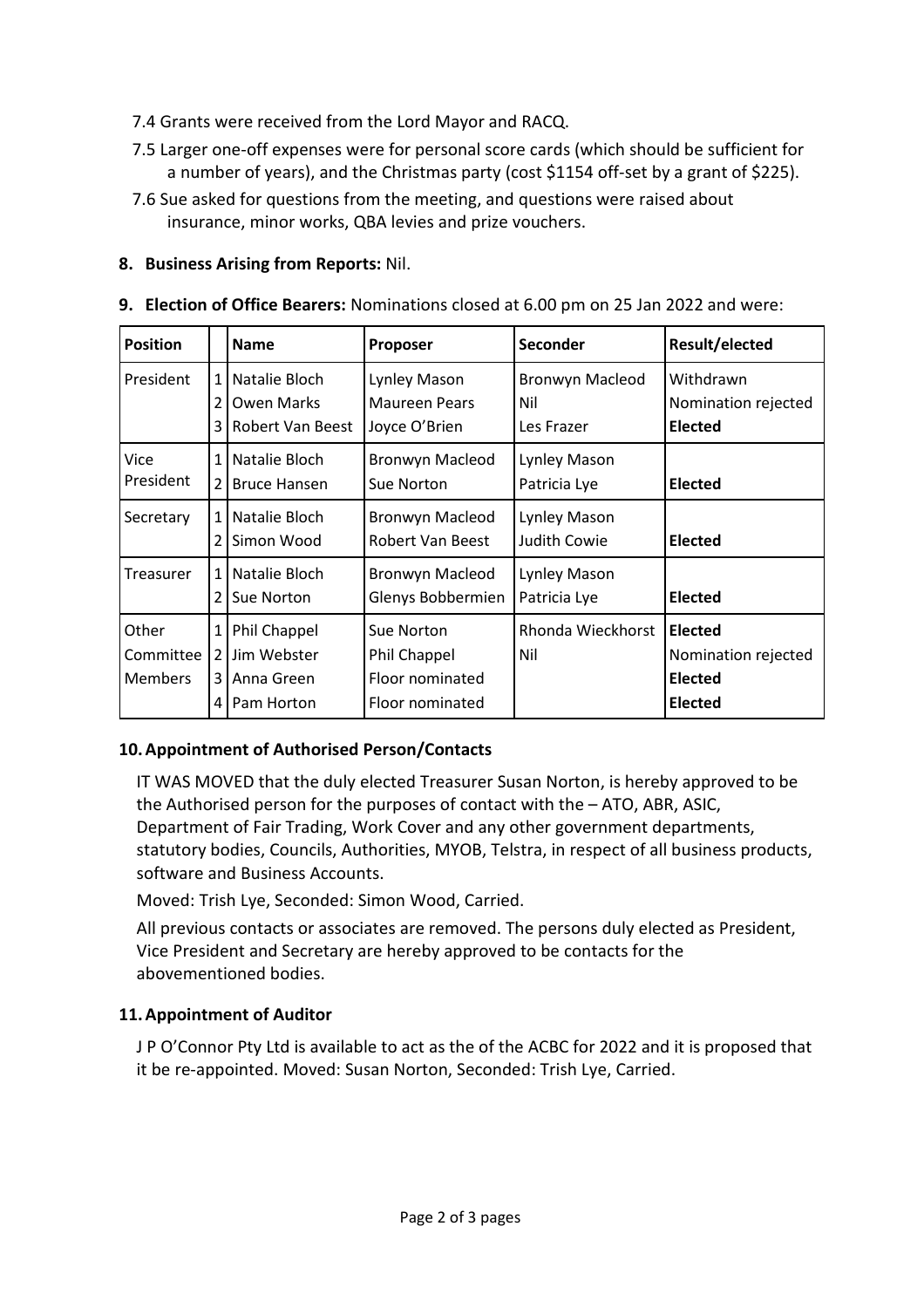- 7.4 Grants were received from the Lord Mayor and RACQ.
- 7.5 Larger one-off expenses were for personal score cards (which should be sufficient for a number of years), and the Christmas party (cost \$1154 off-set by a grant of \$225).
- 7.6 Sue asked for questions from the meeting, and questions were raised about insurance, minor works, QBA levies and prize vouchers.

### **8. Business Arising from Reports:** Nil.

|  | 9. Election of Office Bearers: Nominations closed at 6.00 pm on 25 Jan 2022 and were: |  |  |  |
|--|---------------------------------------------------------------------------------------|--|--|--|
|--|---------------------------------------------------------------------------------------|--|--|--|

| <b>Position</b>                      |                                | <b>Name</b>                                             | <b>Proposer</b>                                                  | Seconder                             | Result/elected                                                            |
|--------------------------------------|--------------------------------|---------------------------------------------------------|------------------------------------------------------------------|--------------------------------------|---------------------------------------------------------------------------|
| President                            | $\mathbf{1}$<br>2<br>3         | Natalie Bloch<br><b>Owen Marks</b><br>Robert Van Beest  | Lynley Mason<br><b>Maureen Pears</b><br>Joyce O'Brien            | Bronwyn Macleod<br>Nil<br>Les Frazer | Withdrawn<br>Nomination rejected<br>Elected                               |
| Vice<br>President                    | $\mathbf{1}$<br>$\overline{2}$ | Natalie Bloch<br><b>Bruce Hansen</b>                    | Bronwyn Macleod<br>Sue Norton                                    | Lynley Mason<br>Patricia Lye         | Elected                                                                   |
| Secretary                            | $\mathbf{1}$<br>2              | Natalie Bloch<br>Simon Wood                             | <b>Bronwyn Macleod</b><br>Robert Van Beest                       | Lynley Mason<br>Judith Cowie         | <b>Elected</b>                                                            |
| Treasurer                            | $\mathbf{1}$<br>2              | Natalie Bloch<br>Sue Norton                             | Bronwyn Macleod<br>Glenys Bobbermien                             | Lynley Mason<br>Patricia Lye         | Elected                                                                   |
| Other<br>Committee<br><b>Members</b> | 1<br>2<br>3<br>4               | Phil Chappel<br>Jim Webster<br>Anna Green<br>Pam Horton | Sue Norton<br>Phil Chappel<br>Floor nominated<br>Floor nominated | Rhonda Wieckhorst<br>Nil             | <b>Elected</b><br>Nomination rejected<br><b>Elected</b><br><b>Elected</b> |

# **10.Appointment of Authorised Person/Contacts**

IT WAS MOVED that the duly elected Treasurer Susan Norton, is hereby approved to be the Authorised person for the purposes of contact with the – ATO, ABR, ASIC, Department of Fair Trading, Work Cover and any other government departments, statutory bodies, Councils, Authorities, MYOB, Telstra, in respect of all business products, software and Business Accounts.

Moved: Trish Lye, Seconded: Simon Wood, Carried.

All previous contacts or associates are removed. The persons duly elected as President, Vice President and Secretary are hereby approved to be contacts for the abovementioned bodies.

### **11.Appointment of Auditor**

J P O'Connor Pty Ltd is available to act as the of the ACBC for 2022 and it is proposed that it be re-appointed. Moved: Susan Norton, Seconded: Trish Lye, Carried.